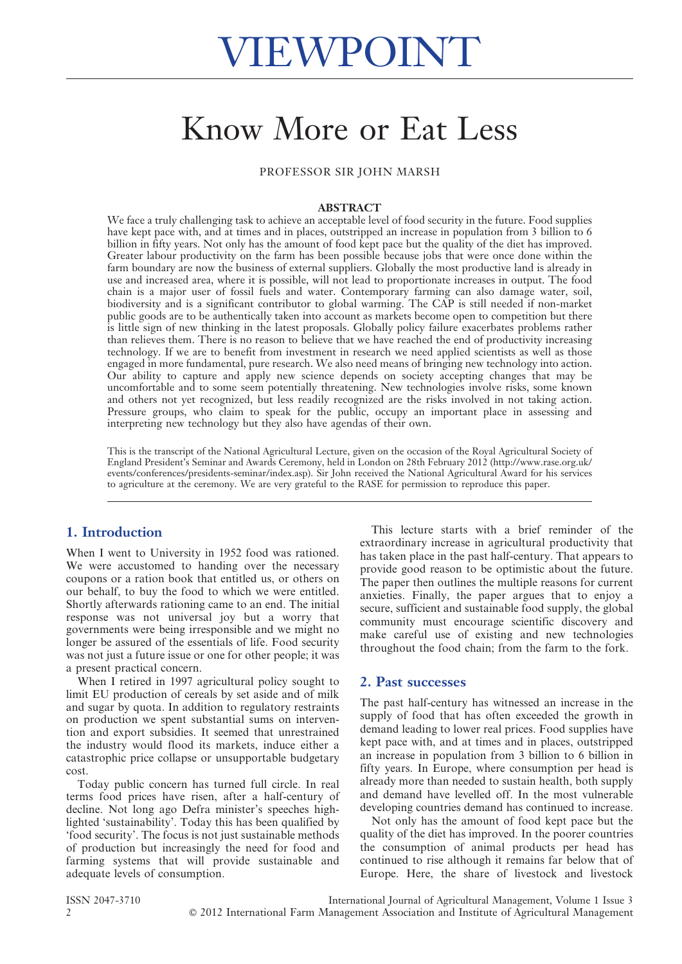# Know More or Eat Less

PROFESSOR SIR JOHN MARSH

#### ABSTRACT

We face a truly challenging task to achieve an acceptable level of food security in the future. Food supplies have kept pace with, and at times and in places, outstripped an increase in population from 3 billion to 6 billion in fifty years. Not only has the amount of food kept pace but the quality of the diet has improved. Greater labour productivity on the farm has been possible because jobs that were once done within the farm boundary are now the business of external suppliers. Globally the most productive land is already in use and increased area, where it is possible, will not lead to proportionate increases in output. The food chain is a major user of fossil fuels and water. Contemporary farming can also damage water, soil, biodiversity and is a significant contributor to global warming. The CAP is still needed if non-market public goods are to be authentically taken into account as markets become open to competition but there is little sign of new thinking in the latest proposals. Globally policy failure exacerbates problems rather than relieves them. There is no reason to believe that we have reached the end of productivity increasing technology. If we are to benefit from investment in research we need applied scientists as well as those engaged in more fundamental, pure research. We also need means of bringing new technology into action. Our ability to capture and apply new science depends on society accepting changes that may be uncomfortable and to some seem potentially threatening. New technologies involve risks, some known and others not yet recognized, but less readily recognized are the risks involved in not taking action. Pressure groups, who claim to speak for the public, occupy an important place in assessing and interpreting new technology but they also have agendas of their own.

This is the transcript of the National Agricultural Lecture, given on the occasion of the Royal Agricultural Society of England President's Seminar and Awards Ceremony, held in London on 28th February 2012 (http://www.rase.org.uk/ events/conferences/presidents-seminar/index.asp). Sir John received the National Agricultural Award for his services to agriculture at the ceremony. We are very grateful to the RASE for permission to reproduce this paper.

# 1. Introduction

When I went to University in 1952 food was rationed. We were accustomed to handing over the necessary coupons or a ration book that entitled us, or others on our behalf, to buy the food to which we were entitled. Shortly afterwards rationing came to an end. The initial response was not universal joy but a worry that governments were being irresponsible and we might no longer be assured of the essentials of life. Food security was not just a future issue or one for other people; it was a present practical concern.

When I retired in 1997 agricultural policy sought to limit EU production of cereals by set aside and of milk and sugar by quota. In addition to regulatory restraints on production we spent substantial sums on intervention and export subsidies. It seemed that unrestrained the industry would flood its markets, induce either a catastrophic price collapse or unsupportable budgetary cost.

Today public concern has turned full circle. In real terms food prices have risen, after a half-century of decline. Not long ago Defra minister's speeches highlighted 'sustainability'. Today this has been qualified by 'food security'. The focus is not just sustainable methods of production but increasingly the need for food and farming systems that will provide sustainable and adequate levels of consumption.

This lecture starts with a brief reminder of the extraordinary increase in agricultural productivity that has taken place in the past half-century. That appears to provide good reason to be optimistic about the future. The paper then outlines the multiple reasons for current anxieties. Finally, the paper argues that to enjoy a secure, sufficient and sustainable food supply, the global community must encourage scientific discovery and make careful use of existing and new technologies throughout the food chain; from the farm to the fork.

#### 2. Past successes

The past half-century has witnessed an increase in the supply of food that has often exceeded the growth in demand leading to lower real prices. Food supplies have kept pace with, and at times and in places, outstripped an increase in population from 3 billion to 6 billion in fifty years. In Europe, where consumption per head is already more than needed to sustain health, both supply and demand have levelled off. In the most vulnerable developing countries demand has continued to increase.

Not only has the amount of food kept pace but the quality of the diet has improved. In the poorer countries the consumption of animal products per head has continued to rise although it remains far below that of Europe. Here, the share of livestock and livestock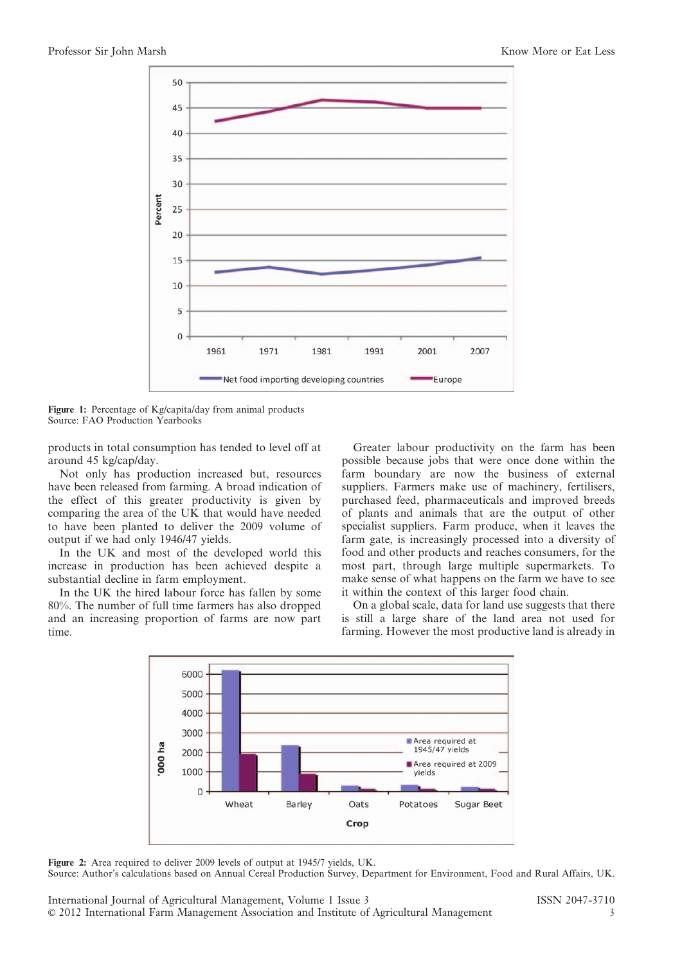

Figure 1: Percentage of Kg/capita/day from animal products Source: FAO Production Yearbooks

products in total consumption has tended to level off at around 45 kg/cap/day.

Not only has production increased but, resources have been released from farming. A broad indication of the effect of this greater productivity is given by comparing the area of the UK that would have needed to have been planted to deliver the 2009 volume of output if we had only 1946/47 yields.

In the UK and most of the developed world this increase in production has been achieved despite a substantial decline in farm employment.

In the UK the hired labour force has fallen by some 80%. The number of full time farmers has also dropped and an increasing proportion of farms are now part time.

Greater labour productivity on the farm has been possible because jobs that were once done within the farm boundary are now the business of external suppliers. Farmers make use of machinery, fertilisers, purchased feed, pharmaceuticals and improved breeds of plants and animals that are the output of other specialist suppliers. Farm produce, when it leaves the farm gate, is increasingly processed into a diversity of food and other products and reaches consumers, for the most part, through large multiple supermarkets. To make sense of what happens on the farm we have to see it within the context of this larger food chain.

On a global scale, data for land use suggests that there is still a large share of the land area not used for farming. However the most productive land is already in



Figure 2: Area required to deliver 2009 levels of output at 1945/7 yields, UK.

Source: Author's calculations based on Annual Cereal Production Survey, Department for Environment, Food and Rural Affairs, UK.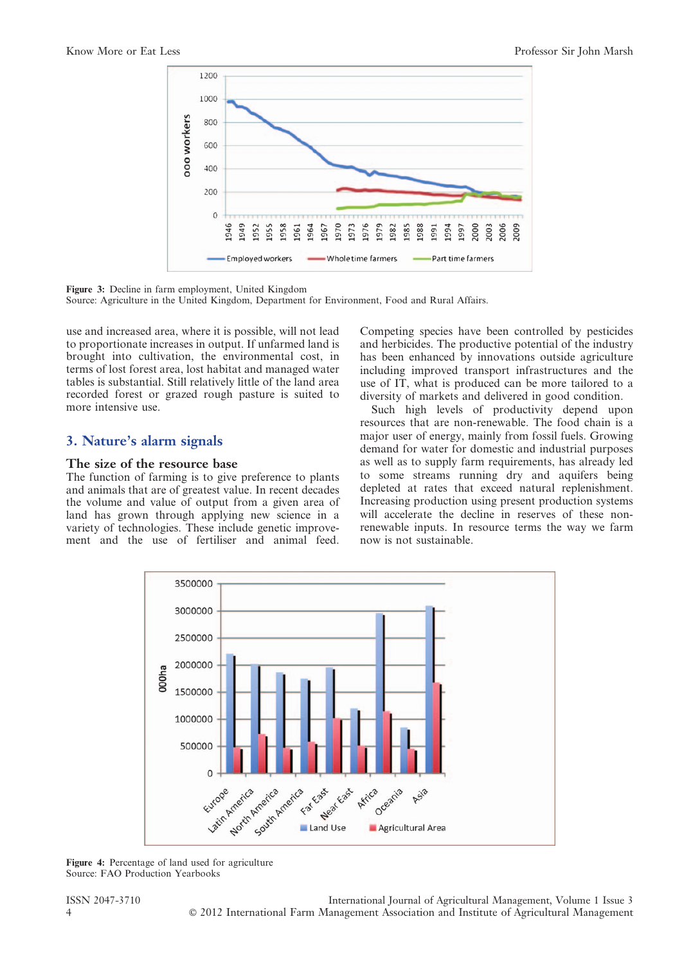

Figure 3: Decline in farm employment, United Kingdom

Source: Agriculture in the United Kingdom, Department for Environment, Food and Rural Affairs.

use and increased area, where it is possible, will not lead to proportionate increases in output. If unfarmed land is brought into cultivation, the environmental cost, in terms of lost forest area, lost habitat and managed water tables is substantial. Still relatively little of the land area recorded forest or grazed rough pasture is suited to more intensive use.

# 3. Nature's alarm signals

#### The size of the resource base

The function of farming is to give preference to plants and animals that are of greatest value. In recent decades the volume and value of output from a given area of land has grown through applying new science in a variety of technologies. These include genetic improvement and the use of fertiliser and animal feed. Competing species have been controlled by pesticides and herbicides. The productive potential of the industry has been enhanced by innovations outside agriculture including improved transport infrastructures and the use of IT, what is produced can be more tailored to a diversity of markets and delivered in good condition.

Such high levels of productivity depend upon resources that are non-renewable. The food chain is a major user of energy, mainly from fossil fuels. Growing demand for water for domestic and industrial purposes as well as to supply farm requirements, has already led to some streams running dry and aquifers being depleted at rates that exceed natural replenishment. Increasing production using present production systems will accelerate the decline in reserves of these nonrenewable inputs. In resource terms the way we farm now is not sustainable.



Figure 4: Percentage of land used for agriculture Source: FAO Production Yearbooks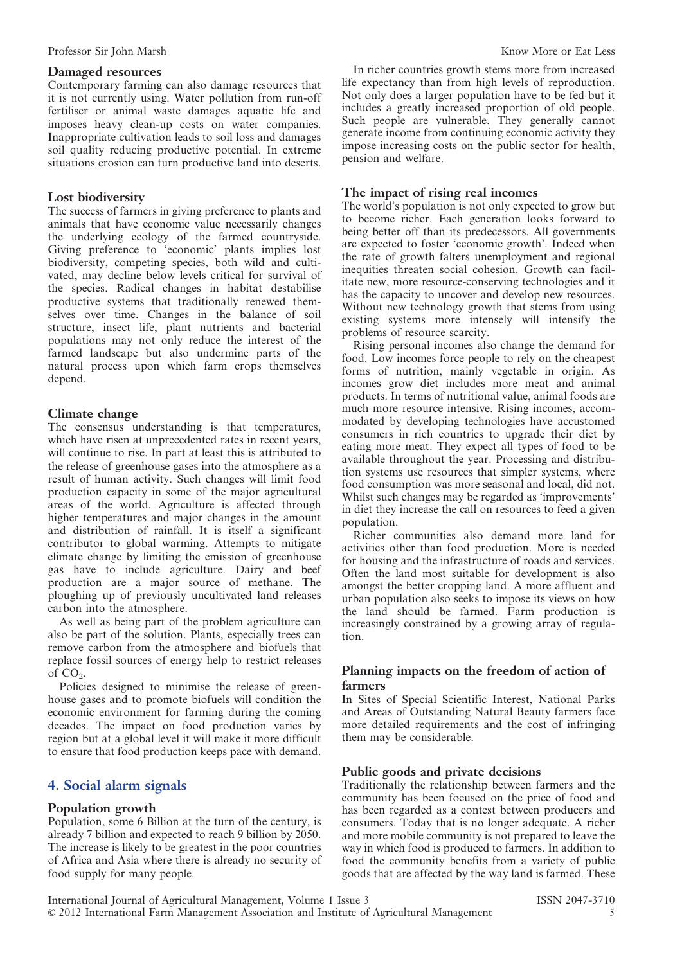## Damaged resources

Contemporary farming can also damage resources that it is not currently using. Water pollution from run-off fertiliser or animal waste damages aquatic life and imposes heavy clean-up costs on water companies. Inappropriate cultivation leads to soil loss and damages soil quality reducing productive potential. In extreme situations erosion can turn productive land into deserts.

## Lost biodiversity

The success of farmers in giving preference to plants and animals that have economic value necessarily changes the underlying ecology of the farmed countryside. Giving preference to 'economic' plants implies lost biodiversity, competing species, both wild and cultivated, may decline below levels critical for survival of the species. Radical changes in habitat destabilise productive systems that traditionally renewed themselves over time. Changes in the balance of soil structure, insect life, plant nutrients and bacterial populations may not only reduce the interest of the farmed landscape but also undermine parts of the natural process upon which farm crops themselves depend.

## Climate change

The consensus understanding is that temperatures, which have risen at unprecedented rates in recent years, will continue to rise. In part at least this is attributed to the release of greenhouse gases into the atmosphere as a result of human activity. Such changes will limit food production capacity in some of the major agricultural areas of the world. Agriculture is affected through higher temperatures and major changes in the amount and distribution of rainfall. It is itself a significant contributor to global warming. Attempts to mitigate climate change by limiting the emission of greenhouse gas have to include agriculture. Dairy and beef production are a major source of methane. The ploughing up of previously uncultivated land releases carbon into the atmosphere.

As well as being part of the problem agriculture can also be part of the solution. Plants, especially trees can remove carbon from the atmosphere and biofuels that replace fossil sources of energy help to restrict releases of  $CO<sub>2</sub>$ .

Policies designed to minimise the release of greenhouse gases and to promote biofuels will condition the economic environment for farming during the coming decades. The impact on food production varies by region but at a global level it will make it more difficult to ensure that food production keeps pace with demand.

# 4. Social alarm signals

#### Population growth

Population, some 6 Billion at the turn of the century, is already 7 billion and expected to reach 9 billion by 2050. The increase is likely to be greatest in the poor countries of Africa and Asia where there is already no security of food supply for many people.

In richer countries growth stems more from increased life expectancy than from high levels of reproduction. Not only does a larger population have to be fed but it includes a greatly increased proportion of old people. Such people are vulnerable. They generally cannot generate income from continuing economic activity they impose increasing costs on the public sector for health, pension and welfare.

## The impact of rising real incomes

The world's population is not only expected to grow but to become richer. Each generation looks forward to being better off than its predecessors. All governments are expected to foster 'economic growth'. Indeed when the rate of growth falters unemployment and regional inequities threaten social cohesion. Growth can facilitate new, more resource-conserving technologies and it has the capacity to uncover and develop new resources. Without new technology growth that stems from using existing systems more intensely will intensify the problems of resource scarcity.

Rising personal incomes also change the demand for food. Low incomes force people to rely on the cheapest forms of nutrition, mainly vegetable in origin. As incomes grow diet includes more meat and animal products. In terms of nutritional value, animal foods are much more resource intensive. Rising incomes, accommodated by developing technologies have accustomed consumers in rich countries to upgrade their diet by eating more meat. They expect all types of food to be available throughout the year. Processing and distribution systems use resources that simpler systems, where food consumption was more seasonal and local, did not. Whilst such changes may be regarded as 'improvements' in diet they increase the call on resources to feed a given population.

Richer communities also demand more land for activities other than food production. More is needed for housing and the infrastructure of roads and services. Often the land most suitable for development is also amongst the better cropping land. A more affluent and urban population also seeks to impose its views on how the land should be farmed. Farm production is increasingly constrained by a growing array of regulation.

# Planning impacts on the freedom of action of farmers

In Sites of Special Scientific Interest, National Parks and Areas of Outstanding Natural Beauty farmers face more detailed requirements and the cost of infringing them may be considerable.

#### Public goods and private decisions

Traditionally the relationship between farmers and the community has been focused on the price of food and has been regarded as a contest between producers and consumers. Today that is no longer adequate. A richer and more mobile community is not prepared to leave the way in which food is produced to farmers. In addition to food the community benefits from a variety of public goods that are affected by the way land is farmed. These

International Journal of Agricultural Management, Volume 1 Issue 3 ISSN 2047-3710 ' 2012 International Farm Management Association and Institute of Agricultural Management 5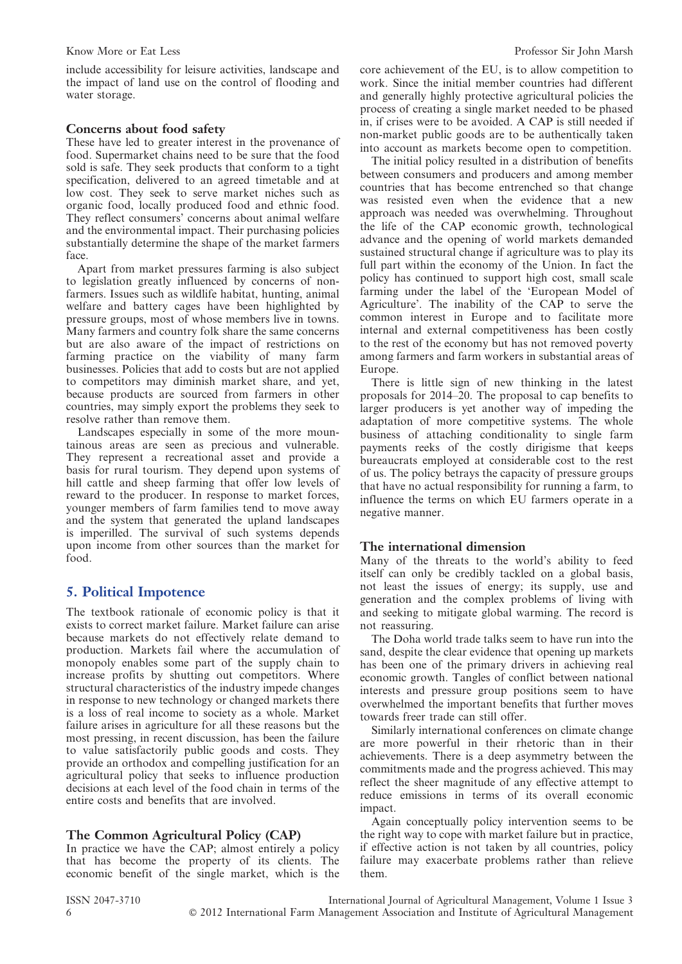include accessibility for leisure activities, landscape and the impact of land use on the control of flooding and water storage.

# Concerns about food safety

These have led to greater interest in the provenance of food. Supermarket chains need to be sure that the food sold is safe. They seek products that conform to a tight specification, delivered to an agreed timetable and at low cost. They seek to serve market niches such as organic food, locally produced food and ethnic food. They reflect consumers' concerns about animal welfare and the environmental impact. Their purchasing policies substantially determine the shape of the market farmers face.

Apart from market pressures farming is also subject to legislation greatly influenced by concerns of nonfarmers. Issues such as wildlife habitat, hunting, animal welfare and battery cages have been highlighted by pressure groups, most of whose members live in towns. Many farmers and country folk share the same concerns but are also aware of the impact of restrictions on farming practice on the viability of many farm businesses. Policies that add to costs but are not applied to competitors may diminish market share, and yet, because products are sourced from farmers in other countries, may simply export the problems they seek to resolve rather than remove them.

Landscapes especially in some of the more mountainous areas are seen as precious and vulnerable. They represent a recreational asset and provide a basis for rural tourism. They depend upon systems of hill cattle and sheep farming that offer low levels of reward to the producer. In response to market forces, younger members of farm families tend to move away and the system that generated the upland landscapes is imperilled. The survival of such systems depends upon income from other sources than the market for food.

# 5. Political Impotence

The textbook rationale of economic policy is that it exists to correct market failure. Market failure can arise because markets do not effectively relate demand to production. Markets fail where the accumulation of monopoly enables some part of the supply chain to increase profits by shutting out competitors. Where structural characteristics of the industry impede changes in response to new technology or changed markets there is a loss of real income to society as a whole. Market failure arises in agriculture for all these reasons but the most pressing, in recent discussion, has been the failure to value satisfactorily public goods and costs. They provide an orthodox and compelling justification for an agricultural policy that seeks to influence production decisions at each level of the food chain in terms of the entire costs and benefits that are involved.

# The Common Agricultural Policy (CAP)

In practice we have the CAP; almost entirely a policy that has become the property of its clients. The economic benefit of the single market, which is the core achievement of the EU, is to allow competition to work. Since the initial member countries had different and generally highly protective agricultural policies the process of creating a single market needed to be phased in, if crises were to be avoided. A CAP is still needed if non-market public goods are to be authentically taken into account as markets become open to competition.

The initial policy resulted in a distribution of benefits between consumers and producers and among member countries that has become entrenched so that change was resisted even when the evidence that a new approach was needed was overwhelming. Throughout the life of the CAP economic growth, technological advance and the opening of world markets demanded sustained structural change if agriculture was to play its full part within the economy of the Union. In fact the policy has continued to support high cost, small scale farming under the label of the 'European Model of Agriculture'. The inability of the CAP to serve the common interest in Europe and to facilitate more internal and external competitiveness has been costly to the rest of the economy but has not removed poverty among farmers and farm workers in substantial areas of Europe.

There is little sign of new thinking in the latest proposals for 2014–20. The proposal to cap benefits to larger producers is yet another way of impeding the adaptation of more competitive systems. The whole business of attaching conditionality to single farm payments reeks of the costly dirigisme that keeps bureaucrats employed at considerable cost to the rest of us. The policy betrays the capacity of pressure groups that have no actual responsibility for running a farm, to influence the terms on which EU farmers operate in a negative manner.

# The international dimension

Many of the threats to the world's ability to feed itself can only be credibly tackled on a global basis, not least the issues of energy; its supply, use and generation and the complex problems of living with and seeking to mitigate global warming. The record is not reassuring.

The Doha world trade talks seem to have run into the sand, despite the clear evidence that opening up markets has been one of the primary drivers in achieving real economic growth. Tangles of conflict between national interests and pressure group positions seem to have overwhelmed the important benefits that further moves towards freer trade can still offer.

Similarly international conferences on climate change are more powerful in their rhetoric than in their achievements. There is a deep asymmetry between the commitments made and the progress achieved. This may reflect the sheer magnitude of any effective attempt to reduce emissions in terms of its overall economic impact.

Again conceptually policy intervention seems to be the right way to cope with market failure but in practice, if effective action is not taken by all countries, policy failure may exacerbate problems rather than relieve them.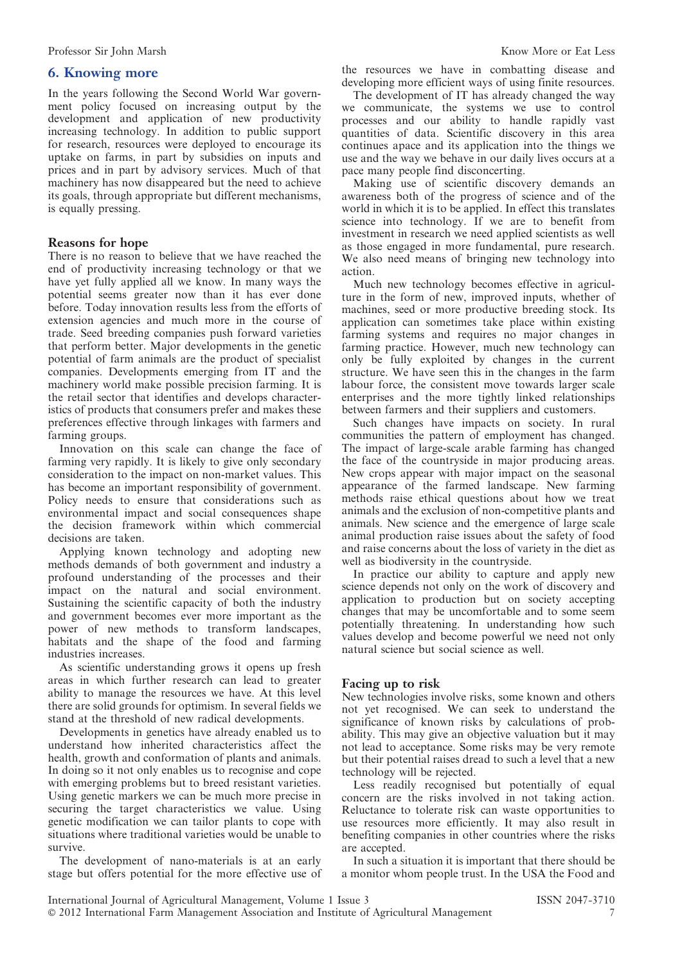## 6. Knowing more

In the years following the Second World War government policy focused on increasing output by the development and application of new productivity increasing technology. In addition to public support for research, resources were deployed to encourage its uptake on farms, in part by subsidies on inputs and prices and in part by advisory services. Much of that machinery has now disappeared but the need to achieve its goals, through appropriate but different mechanisms, is equally pressing.

## Reasons for hope

There is no reason to believe that we have reached the end of productivity increasing technology or that we have yet fully applied all we know. In many ways the potential seems greater now than it has ever done before. Today innovation results less from the efforts of extension agencies and much more in the course of trade. Seed breeding companies push forward varieties that perform better. Major developments in the genetic potential of farm animals are the product of specialist companies. Developments emerging from IT and the machinery world make possible precision farming. It is the retail sector that identifies and develops characteristics of products that consumers prefer and makes these preferences effective through linkages with farmers and farming groups.

Innovation on this scale can change the face of farming very rapidly. It is likely to give only secondary consideration to the impact on non-market values. This has become an important responsibility of government. Policy needs to ensure that considerations such as environmental impact and social consequences shape the decision framework within which commercial decisions are taken.

Applying known technology and adopting new methods demands of both government and industry a profound understanding of the processes and their impact on the natural and social environment. Sustaining the scientific capacity of both the industry and government becomes ever more important as the power of new methods to transform landscapes, habitats and the shape of the food and farming industries increases.

As scientific understanding grows it opens up fresh areas in which further research can lead to greater ability to manage the resources we have. At this level there are solid grounds for optimism. In several fields we stand at the threshold of new radical developments.

Developments in genetics have already enabled us to understand how inherited characteristics affect the health, growth and conformation of plants and animals. In doing so it not only enables us to recognise and cope with emerging problems but to breed resistant varieties. Using genetic markers we can be much more precise in securing the target characteristics we value. Using genetic modification we can tailor plants to cope with situations where traditional varieties would be unable to survive.

The development of nano-materials is at an early stage but offers potential for the more effective use of the resources we have in combatting disease and developing more efficient ways of using finite resources.

The development of IT has already changed the way we communicate, the systems we use to control processes and our ability to handle rapidly vast quantities of data. Scientific discovery in this area continues apace and its application into the things we use and the way we behave in our daily lives occurs at a pace many people find disconcerting.

Making use of scientific discovery demands an awareness both of the progress of science and of the world in which it is to be applied. In effect this translates science into technology. If we are to benefit from investment in research we need applied scientists as well as those engaged in more fundamental, pure research. We also need means of bringing new technology into action.

Much new technology becomes effective in agriculture in the form of new, improved inputs, whether of machines, seed or more productive breeding stock. Its application can sometimes take place within existing farming systems and requires no major changes in farming practice. However, much new technology can only be fully exploited by changes in the current structure. We have seen this in the changes in the farm labour force, the consistent move towards larger scale enterprises and the more tightly linked relationships between farmers and their suppliers and customers.

Such changes have impacts on society. In rural communities the pattern of employment has changed. The impact of large-scale arable farming has changed the face of the countryside in major producing areas. New crops appear with major impact on the seasonal appearance of the farmed landscape. New farming methods raise ethical questions about how we treat animals and the exclusion of non-competitive plants and animals. New science and the emergence of large scale animal production raise issues about the safety of food and raise concerns about the loss of variety in the diet as well as biodiversity in the countryside.

In practice our ability to capture and apply new science depends not only on the work of discovery and application to production but on society accepting changes that may be uncomfortable and to some seem potentially threatening. In understanding how such values develop and become powerful we need not only natural science but social science as well.

#### Facing up to risk

New technologies involve risks, some known and others not yet recognised. We can seek to understand the significance of known risks by calculations of probability. This may give an objective valuation but it may not lead to acceptance. Some risks may be very remote but their potential raises dread to such a level that a new technology will be rejected.

Less readily recognised but potentially of equal concern are the risks involved in not taking action. Reluctance to tolerate risk can waste opportunities to use resources more efficiently. It may also result in benefiting companies in other countries where the risks are accepted.

In such a situation it is important that there should be a monitor whom people trust. In the USA the Food and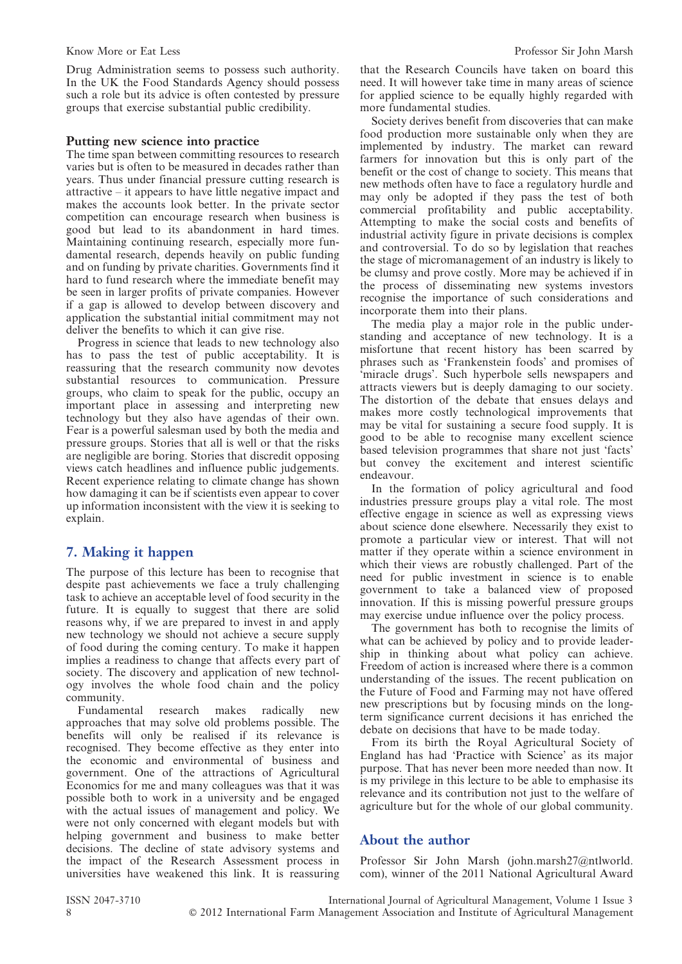Drug Administration seems to possess such authority. In the UK the Food Standards Agency should possess such a role but its advice is often contested by pressure groups that exercise substantial public credibility.

#### Putting new science into practice

The time span between committing resources to research varies but is often to be measured in decades rather than years. Thus under financial pressure cutting research is attractive – it appears to have little negative impact and makes the accounts look better. In the private sector competition can encourage research when business is good but lead to its abandonment in hard times. Maintaining continuing research, especially more fundamental research, depends heavily on public funding and on funding by private charities. Governments find it hard to fund research where the immediate benefit may be seen in larger profits of private companies. However if a gap is allowed to develop between discovery and application the substantial initial commitment may not deliver the benefits to which it can give rise.

Progress in science that leads to new technology also has to pass the test of public acceptability. It is reassuring that the research community now devotes substantial resources to communication. Pressure groups, who claim to speak for the public, occupy an important place in assessing and interpreting new technology but they also have agendas of their own. Fear is a powerful salesman used by both the media and pressure groups. Stories that all is well or that the risks are negligible are boring. Stories that discredit opposing views catch headlines and influence public judgements. Recent experience relating to climate change has shown how damaging it can be if scientists even appear to cover up information inconsistent with the view it is seeking to explain.

# 7. Making it happen

The purpose of this lecture has been to recognise that despite past achievements we face a truly challenging task to achieve an acceptable level of food security in the future. It is equally to suggest that there are solid reasons why, if we are prepared to invest in and apply new technology we should not achieve a secure supply of food during the coming century. To make it happen implies a readiness to change that affects every part of society. The discovery and application of new technology involves the whole food chain and the policy community.

Fundamental research makes radically new approaches that may solve old problems possible. The benefits will only be realised if its relevance is recognised. They become effective as they enter into the economic and environmental of business and government. One of the attractions of Agricultural Economics for me and many colleagues was that it was possible both to work in a university and be engaged with the actual issues of management and policy. We were not only concerned with elegant models but with helping government and business to make better decisions. The decline of state advisory systems and the impact of the Research Assessment process in universities have weakened this link. It is reassuring that the Research Councils have taken on board this need. It will however take time in many areas of science for applied science to be equally highly regarded with more fundamental studies.

Society derives benefit from discoveries that can make food production more sustainable only when they are implemented by industry. The market can reward farmers for innovation but this is only part of the benefit or the cost of change to society. This means that new methods often have to face a regulatory hurdle and may only be adopted if they pass the test of both commercial profitability and public acceptability. Attempting to make the social costs and benefits of industrial activity figure in private decisions is complex and controversial. To do so by legislation that reaches the stage of micromanagement of an industry is likely to be clumsy and prove costly. More may be achieved if in the process of disseminating new systems investors recognise the importance of such considerations and incorporate them into their plans.

The media play a major role in the public understanding and acceptance of new technology. It is a misfortune that recent history has been scarred by phrases such as 'Frankenstein foods' and promises of 'miracle drugs'. Such hyperbole sells newspapers and attracts viewers but is deeply damaging to our society. The distortion of the debate that ensues delays and makes more costly technological improvements that may be vital for sustaining a secure food supply. It is good to be able to recognise many excellent science based television programmes that share not just 'facts' but convey the excitement and interest scientific endeavour.

In the formation of policy agricultural and food industries pressure groups play a vital role. The most effective engage in science as well as expressing views about science done elsewhere. Necessarily they exist to promote a particular view or interest. That will not matter if they operate within a science environment in which their views are robustly challenged. Part of the need for public investment in science is to enable government to take a balanced view of proposed innovation. If this is missing powerful pressure groups may exercise undue influence over the policy process.

The government has both to recognise the limits of what can be achieved by policy and to provide leadership in thinking about what policy can achieve. Freedom of action is increased where there is a common understanding of the issues. The recent publication on the Future of Food and Farming may not have offered new prescriptions but by focusing minds on the longterm significance current decisions it has enriched the debate on decisions that have to be made today.

From its birth the Royal Agricultural Society of England has had 'Practice with Science' as its major purpose. That has never been more needed than now. It is my privilege in this lecture to be able to emphasise its relevance and its contribution not just to the welfare of agriculture but for the whole of our global community.

# About the author

Professor Sir John Marsh (john.marsh27@ntlworld. com), winner of the 2011 National Agricultural Award